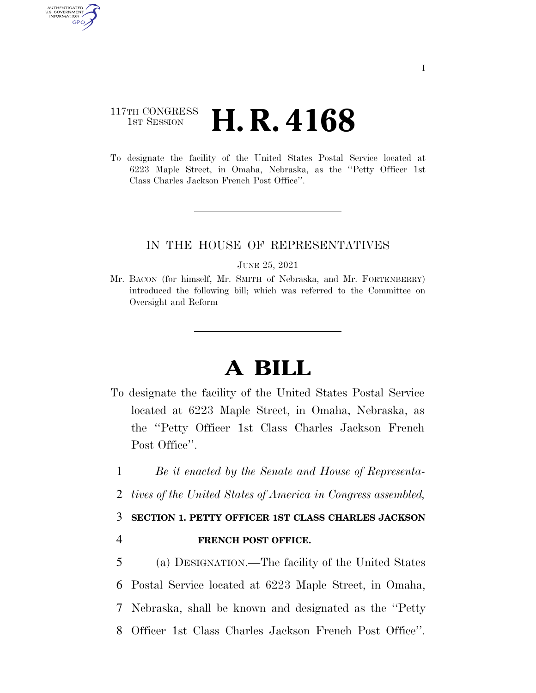### 117TH CONGRESS **1st Session H. R. 4168**

AUTHENTICATED U.S. GOVERNMENT **GPO** 

> To designate the facility of the United States Postal Service located at 6223 Maple Street, in Omaha, Nebraska, as the ''Petty Officer 1st Class Charles Jackson French Post Office''.

#### IN THE HOUSE OF REPRESENTATIVES

JUNE 25, 2021

Mr. BACON (for himself, Mr. SMITH of Nebraska, and Mr. FORTENBERRY) introduced the following bill; which was referred to the Committee on Oversight and Reform

# **A BILL**

- To designate the facility of the United States Postal Service located at 6223 Maple Street, in Omaha, Nebraska, as the ''Petty Officer 1st Class Charles Jackson French Post Office".
- 1 *Be it enacted by the Senate and House of Representa-*
- 2 *tives of the United States of America in Congress assembled,*

## 3 **SECTION 1. PETTY OFFICER 1ST CLASS CHARLES JACKSON**

### 4 **FRENCH POST OFFICE.**

 (a) DESIGNATION.—The facility of the United States Postal Service located at 6223 Maple Street, in Omaha, Nebraska, shall be known and designated as the ''Petty Officer 1st Class Charles Jackson French Post Office''.